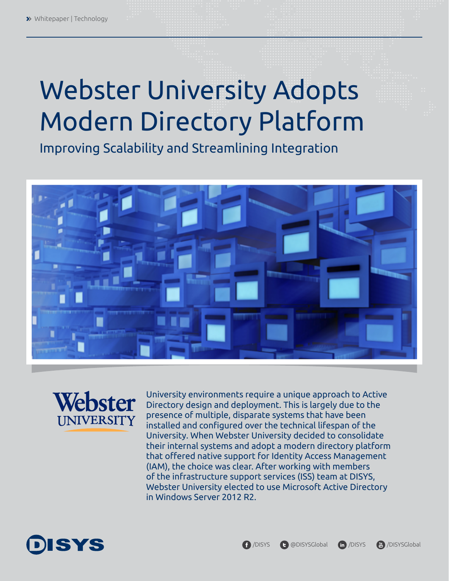# Webster University Adopts Modern Directory Platform

Improving Scalability and Streamlining Integration





University environments require a unique approach to Active Directory design and deployment. This is largely due to the presence of multiple, disparate systems that have been installed and configured over the technical lifespan of the University. When Webster University decided to consolidate their internal systems and adopt a modern directory platform that offered native support for Identity Access Management (IAM), the choice was clear. After working with members of the infrastructure support services (ISS) team at DISYS, Webster University elected to use Microsoft Active Directory in Windows Server 2012 R2.

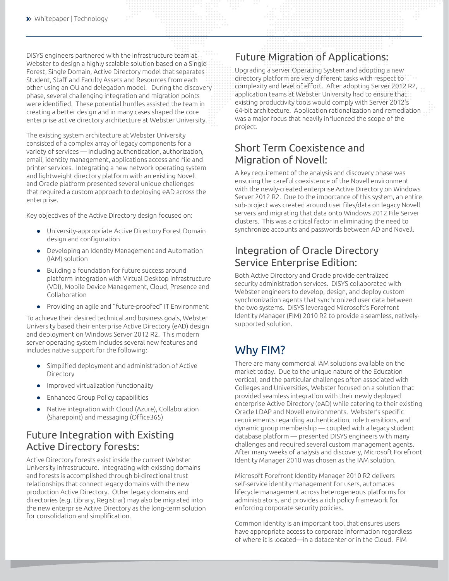DISYS engineers partnered with the infrastructure team at Webster to design a highly scalable solution based on a Single Forest, Single Domain, Active Directory model that separates Student, Staff and Faculty Assets and Resources from each other using an OU and delegation model. During the discovery phase, several challenging integration and migration points were identified. These potential hurdles assisted the team in creating a better design and in many cases shaped the core enterprise active directory architecture at Webster University.

The existing system architecture at Webster University consisted of a complex array of legacy components for a variety of services — including authentication, authorization, email, identity management, applications access and file and printer services. Integrating a new network operating system and lightweight directory platform with an existing Novell and Oracle platform presented several unique challenges that required a custom approach to deploying eAD across the enterprise.

Key objectives of the Active Directory design focused on:

- $\bullet$  University-appropriate Active Directory Forest Domain design and configuration
- Developing an Identity Management and Automation (IAM) solution
- Building a foundation for future success around platform integration with Virtual Desktop Infrastructure (VDI), Mobile Device Management, Cloud, Presence and Collaboration
- Providing an agile and "future-proofed" IT Environment

To achieve their desired technical and business goals, Webster University based their enterprise Active Directory (eAD) design and deployment on Windows Server 2012 R2. This modern server operating system includes several new features and includes native support for the following:

- Simplified deployment and administration of Active Directory
- **•** Improved virtualization functionality
- Enhanced Group Policy capabilities
- Native integration with Cloud (Azure), Collaboration (Sharepoint) and messaging (Office365)

## Future Integration with Existing Active Directory forests:

Active Directory forests exist inside the current Webster University infrastructure. Integrating with existing domains and forests is accomplished through bi-directional trust relationships that connect legacy domains with the new production Active Directory. Other legacy domains and directories (e.g. Library, Registrar) may also be migrated into the new enterprise Active Directory as the long-term solution for consolidation and simplification.

## Future Migration of Applications:

Upgrading a server Operating System and adopting a new directory platform are very different tasks with respect to complexity and level of effort. After adopting Server 2012 R2, application teams at Webster University had to ensure that existing productivity tools would comply with Server 2012's 64-bit architecture. Application rationalization and remediation was a major focus that heavily influenced the scope of the project.

## Short Term Coexistence and Migration of Novell:

A key requirement of the analysis and discovery phase was ensuring the careful coexistence of the Novell environment with the newly-created enterprise Active Directory on Windows Server 2012 R2. Due to the importance of this system, an entire sub-project was created around user files/data on legacy Novell servers and migrating that data onto Windows 2012 File Server clusters. This was a critical factor in eliminating the need to synchronize accounts and passwords between AD and Novell.

## Integration of Oracle Directory Service Enterprise Edition:

Both Active Directory and Oracle provide centralized security administration services. DISYS collaborated with Webster engineers to develop, design, and deploy custom synchronization agents that synchronized user data between the two systems. DISYS leveraged Microsoft's Forefront Identity Manager (FIM) 2010 R2 to provide a seamless, nativelysupported solution.

## Why FIM?

There are many commercial IAM solutions available on the market today. Due to the unique nature of the Education vertical, and the particular challenges often associated with Colleges and Universities, Webster focused on a solution that provided seamless integration with their newly deployed enterprise Active Directory (eAD) while catering to their existing Oracle LDAP and Novell environments. Webster's specific requirements regarding authentication, role transitions, and dynamic group membership — coupled with a legacy student database platform ― presented DISYS engineers with many challenges and required several custom management agents. After many weeks of analysis and discovery, Microsoft Forefront Identity Manager 2010 was chosen as the IAM solution.

Microsoft Forefront Identity Manager 2010 R2 delivers self-service identity management for users, automates lifecycle management across heterogeneous platforms for administrators, and provides a rich policy framework for enforcing corporate security policies.

Common identity is an important tool that ensures users have appropriate access to corporate information regardless of where it is located—in a datacenter or in the Cloud. FIM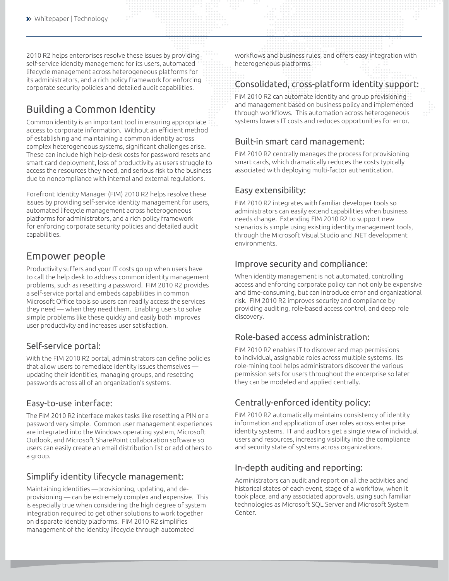2010 R2 helps enterprises resolve these issues by providing self-service identity management for its users, automated lifecycle management across heterogeneous platforms for its administrators, and a rich policy framework for enforcing corporate security policies and detailed audit capabilities.

## Building a Common Identity

Common identity is an important tool in ensuring appropriate access to corporate information. Without an efficient method of establishing and maintaining a common identity across complex heterogeneous systems, significant challenges arise. These can include high help-desk costs for password resets and smart card deployment, loss of productivity as users struggle to access the resources they need, and serious risk to the business due to noncompliance with internal and external regulations.

Forefront Identity Manager (FIM) 2010 R2 helps resolve these issues by providing self-service identity management for users, automated lifecycle management across heterogeneous platforms for administrators, and a rich policy framework for enforcing corporate security policies and detailed audit capabilities.

## Empower people

Productivity suffers and your IT costs go up when users have to call the help desk to address common identity management problems, such as resetting a password. FIM 2010 R2 provides a self-service portal and embeds capabilities in common Microsoft Office tools so users can readily access the services they need — when they need them. Enabling users to solve simple problems like these quickly and easily both improves user productivity and increases user satisfaction.

#### Self-service portal:

With the FIM 2010 R2 portal, administrators can define policies that allow users to remediate identity issues themselves updating their identities, managing groups, and resetting passwords across all of an organization's systems.

#### Easy-to-use interface:

The FIM 2010 R2 interface makes tasks like resetting a PIN or a password very simple. Common user management experiences are integrated into the Windows operating system, Microsoft Outlook, and Microsoft SharePoint collaboration software so users can easily create an email distribution list or add others to a group.

#### Simplify identity lifecycle management:

Maintaining identities —provisioning, updating, and deprovisioning — can be extremely complex and expensive. This is especially true when considering the high degree of system integration required to get other solutions to work together on disparate identity platforms. FIM 2010 R2 simplifies management of the identity lifecycle through automated

workflows and business rules, and offers easy integration with heterogeneous platforms.

#### Consolidated, cross-platform identity support:

FIM 2010 R2 can automate identity and group provisioning and management based on business policy and implemented through workflows. This automation across heterogeneous systems lowers IT costs and reduces opportunities for error.

#### Built-in smart card management:

FIM 2010 R2 centrally manages the process for provisioning smart cards, which dramatically reduces the costs typically associated with deploying multi-factor authentication.

#### Easy extensibility:

FIM 2010 R2 integrates with familiar developer tools so administrators can easily extend capabilities when business needs change. Extending FIM 2010 R2 to support new scenarios is simple using existing identity management tools, through the Microsoft Visual Studio and .NET development environments.

#### Improve security and compliance:

When identity management is not automated, controlling access and enforcing corporate policy can not only be expensive and time-consuming, but can introduce error and organizational risk. FIM 2010 R2 improves security and compliance by providing auditing, role-based access control, and deep role discovery.

#### Role-based access administration:

FIM 2010 R2 enables IT to discover and map permissions to individual, assignable roles across multiple systems. Its role-mining tool helps administrators discover the various permission sets for users throughout the enterprise so later they can be modeled and applied centrally.

### Centrally-enforced identity policy:

FIM 2010 R2 automatically maintains consistency of identity information and application of user roles across enterprise identity systems. IT and auditors get a single view of individual users and resources, increasing visibility into the compliance and security state of systems across organizations.

### In-depth auditing and reporting:

Administrators can audit and report on all the activities and historical states of each event, stage of a workflow, when it took place, and any associated approvals, using such familiar technologies as Microsoft SQL Server and Microsoft System Center.